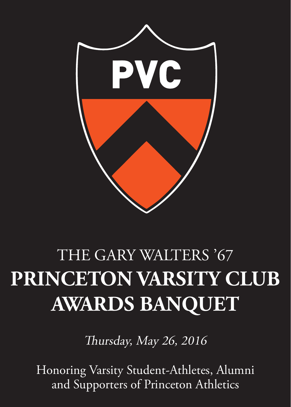

# THE GARY WALTERS '67 **PRINCETON VARSITY CLUB AWARDS BANQUET**

Thursday, May 26, 2016

Honoring Varsity Student-Athletes, Alumni and Supporters of Princeton Athletics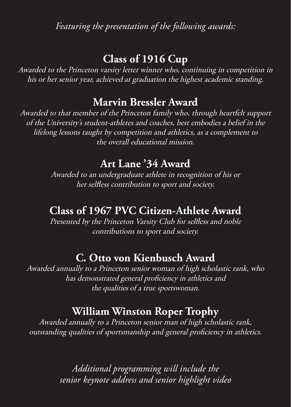*Featuring the presentation of the following awards:*

## **Class of 1916 Cup**

Awarded to the Princeton varsity letter winner who, continuing in competition in his or her senior year, achieved at graduation the highest academic standing.

### **Marvin Bressler Award**

Awarded to that member of the Princeton family who, through heartfelt support of the University's student-athletes and coaches, best embodies a belief in the lifelong lessons taught by competition and athletics, as a complement to the overall educational mission.

### **Art Lane '34 Award**

Awarded to an undergraduate athlete in recognition of his or her selfless contribution to sport and society.

### **Class of 1967 PVC Citizen-Athlete Award**

Presented by the Princeton Varsity Club for selfless and noble contributions to sport and society.

### **C. Otto von Kienbusch Award**

Awarded annually to a Princeton senior woman of high scholastic rank, who has demonstrated general proficiency in athletics and the qualities of a true sportswoman.

### **William Winston Roper Trophy**

Awarded annually to a Princeton senior man of high scholastic rank, outstanding qualities of sportsmanship and general proficiency in athletics.

> *Additional programming will include the senior keynote address and senior highlight video*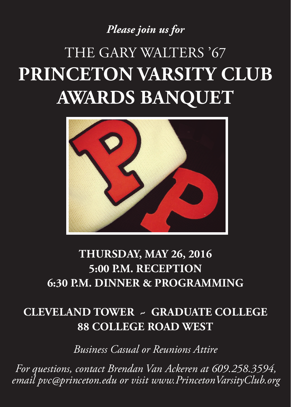# *Please join us for*

# THE GARY WALTERS '67 **PRINCETON VARSITY CLUB AWARDS BANQUET**



# **THURSDAY, MAY 26, 2016 5:00 P.M. RECEPTION 6:30 P.M. DINNER & PROGRAMMING**

# **CLEVELAND TOWER ~ GRADUATE COLLEGE 88 COLLEGE ROAD WEST**

*Business Casual or Reunions Attire*

*For questions, contact Brendan Van Ackeren at 609.258.3594, email pvc@princeton.edu or visit www.PrincetonVarsityClub.org*